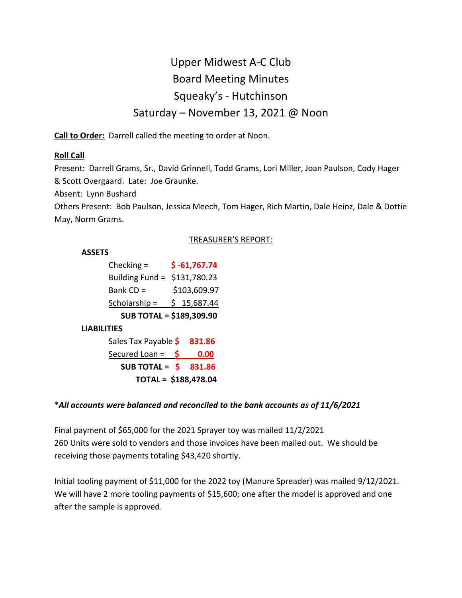# Upper Midwest A-C Club Board Meeting Minutes Squeaky's - Hutchinson Saturday – November 13, 2021 @ Noon

**Call to Order:** Darrell called the meeting to order at Noon.

# **Roll Call**

Present: Darrell Grams, Sr., David Grinnell, Todd Grams, Lori Miller, Joan Paulson, Cody Hager & Scott Overgaard. Late: Joe Graunke.

Absent: Lynn Bushard

Others Present: Bob Paulson, Jessica Meech, Tom Hager, Rich Martin, Dale Heinz, Dale & Dottie May, Norm Grams.

# TREASURER'S REPORT:

#### **ASSETS**

| Checking $=$                    |    | $$ -61,767.74$ |
|---------------------------------|----|----------------|
| Building Fund = \$131,780.23    |    |                |
| Bank $CD =$                     |    | \$103,609.97   |
| Scholarship $=$                 |    | \$15,687.44    |
| <b>SUB TOTAL = \$189,309.90</b> |    |                |
| <b>LIABILITIES</b>              |    |                |
| Sales Tax Payable \$            |    | 831.86         |
| Secured Loan =                  | S. | 0.00           |
| SUB TOTAL = $\oint$             |    | 831.86         |
| TOTAL = \$188,478.04            |    |                |

# \**All accounts were balanced and reconciled to the bank accounts as of 11/6/2021*

Final payment of \$65,000 for the 2021 Sprayer toy was mailed 11/2/2021 260 Units were sold to vendors and those invoices have been mailed out. We should be receiving those payments totaling \$43,420 shortly.

Initial tooling payment of \$11,000 for the 2022 toy (Manure Spreader) was mailed 9/12/2021. We will have 2 more tooling payments of \$15,600; one after the model is approved and one after the sample is approved.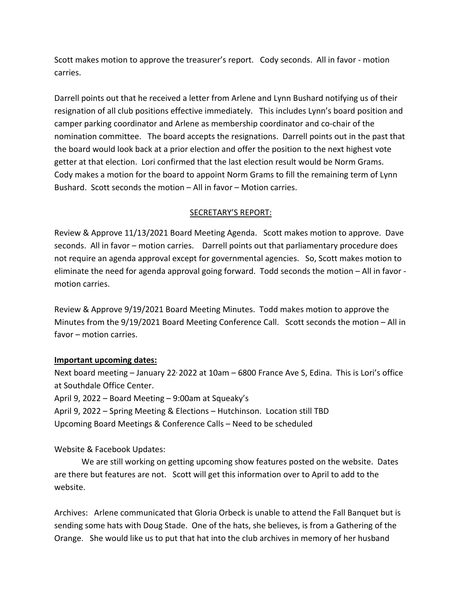Scott makes motion to approve the treasurer's report. Cody seconds. All in favor - motion carries.

Darrell points out that he received a letter from Arlene and Lynn Bushard notifying us of their resignation of all club positions effective immediately. This includes Lynn's board position and camper parking coordinator and Arlene as membership coordinator and co-chair of the nomination committee. The board accepts the resignations. Darrell points out in the past that the board would look back at a prior election and offer the position to the next highest vote getter at that election. Lori confirmed that the last election result would be Norm Grams. Cody makes a motion for the board to appoint Norm Grams to fill the remaining term of Lynn Bushard. Scott seconds the motion – All in favor – Motion carries.

#### SECRETARY'S REPORT:

Review & Approve 11/13/2021 Board Meeting Agenda. Scott makes motion to approve. Dave seconds. All in favor – motion carries. Darrell points out that parliamentary procedure does not require an agenda approval except for governmental agencies. So, Scott makes motion to eliminate the need for agenda approval going forward. Todd seconds the motion – All in favor motion carries.

Review & Approve 9/19/2021 Board Meeting Minutes. Todd makes motion to approve the Minutes from the 9/19/2021 Board Meeting Conference Call. Scott seconds the motion – All in favor – motion carries.

#### **Important upcoming dates:**

Next board meeting - January 22<sup>,</sup> 2022 at 10am - 6800 France Ave S, Edina. This is Lori's office at Southdale Office Center.

April 9, 2022 – Board Meeting – 9:00am at Squeaky's

April 9, 2022 – Spring Meeting & Elections – Hutchinson. Location still TBD Upcoming Board Meetings & Conference Calls – Need to be scheduled

Website & Facebook Updates:

We are still working on getting upcoming show features posted on the website. Dates are there but features are not. Scott will get this information over to April to add to the website.

Archives: Arlene communicated that Gloria Orbeck is unable to attend the Fall Banquet but is sending some hats with Doug Stade. One of the hats, she believes, is from a Gathering of the Orange. She would like us to put that hat into the club archives in memory of her husband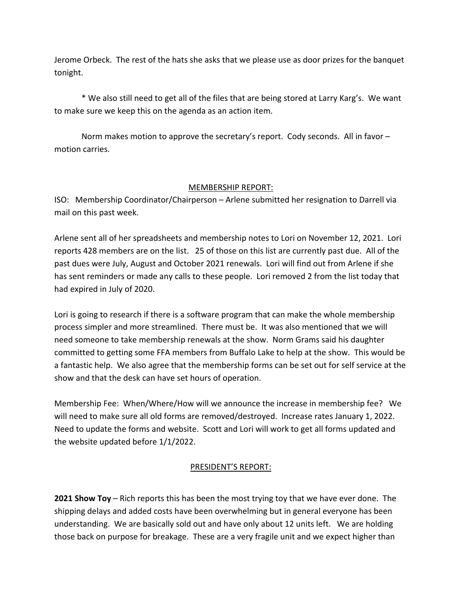Jerome Orbeck. The rest of the hats she asks that we please use as door prizes for the banquet tonight.

\* We also still need to get all of the files that are being stored at Larry Karg's. We want to make sure we keep this on the agenda as an action item.

Norm makes motion to approve the secretary's report. Cody seconds. All in favor – motion carries.

# MEMBERSHIP REPORT:

ISO: Membership Coordinator/Chairperson – Arlene submitted her resignation to Darrell via mail on this past week.

Arlene sent all of her spreadsheets and membership notes to Lori on November 12, 2021. Lori reports 428 members are on the list. 25 of those on this list are currently past due. All of the past dues were July, August and October 2021 renewals. Lori will find out from Arlene if she has sent reminders or made any calls to these people. Lori removed 2 from the list today that had expired in July of 2020.

Lori is going to research if there is a software program that can make the whole membership process simpler and more streamlined. There must be. It was also mentioned that we will need someone to take membership renewals at the show. Norm Grams said his daughter committed to getting some FFA members from Buffalo Lake to help at the show. This would be a fantastic help. We also agree that the membership forms can be set out for self service at the show and that the desk can have set hours of operation.

Membership Fee: When/Where/How will we announce the increase in membership fee? We will need to make sure all old forms are removed/destroyed. Increase rates January 1, 2022. Need to update the forms and website. Scott and Lori will work to get all forms updated and the website updated before 1/1/2022.

# PRESIDENT'S REPORT:

**2021 Show Toy** – Rich reports this has been the most trying toy that we have ever done. The shipping delays and added costs have been overwhelming but in general everyone has been understanding. We are basically sold out and have only about 12 units left. We are holding those back on purpose for breakage. These are a very fragile unit and we expect higher than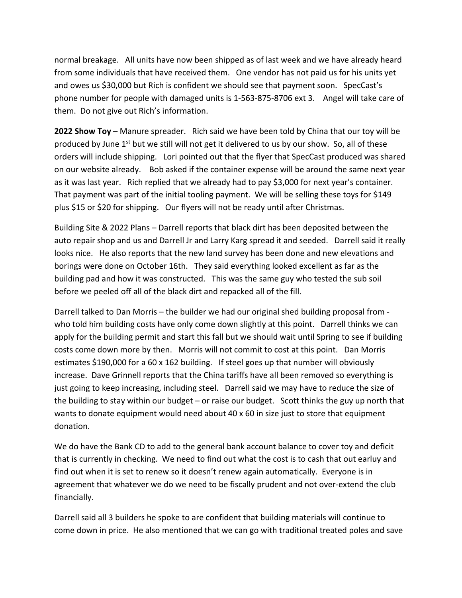normal breakage. All units have now been shipped as of last week and we have already heard from some individuals that have received them. One vendor has not paid us for his units yet and owes us \$30,000 but Rich is confident we should see that payment soon. SpecCast's phone number for people with damaged units is 1-563-875-8706 ext 3. Angel will take care of them. Do not give out Rich's information.

**2022 Show Toy** – Manure spreader. Rich said we have been told by China that our toy will be produced by June  $1<sup>st</sup>$  but we still will not get it delivered to us by our show. So, all of these orders will include shipping. Lori pointed out that the flyer that SpecCast produced was shared on our website already. Bob asked if the container expense will be around the same next year as it was last year. Rich replied that we already had to pay \$3,000 for next year's container. That payment was part of the initial tooling payment. We will be selling these toys for \$149 plus \$15 or \$20 for shipping. Our flyers will not be ready until after Christmas.

Building Site & 2022 Plans – Darrell reports that black dirt has been deposited between the auto repair shop and us and Darrell Jr and Larry Karg spread it and seeded. Darrell said it really looks nice. He also reports that the new land survey has been done and new elevations and borings were done on October 16th. They said everything looked excellent as far as the building pad and how it was constructed. This was the same guy who tested the sub soil before we peeled off all of the black dirt and repacked all of the fill.

Darrell talked to Dan Morris – the builder we had our original shed building proposal from who told him building costs have only come down slightly at this point. Darrell thinks we can apply for the building permit and start this fall but we should wait until Spring to see if building costs come down more by then. Morris will not commit to cost at this point. Dan Morris estimates \$190,000 for a 60 x 162 building. If steel goes up that number will obviously increase. Dave Grinnell reports that the China tariffs have all been removed so everything is just going to keep increasing, including steel. Darrell said we may have to reduce the size of the building to stay within our budget – or raise our budget. Scott thinks the guy up north that wants to donate equipment would need about 40 x 60 in size just to store that equipment donation.

We do have the Bank CD to add to the general bank account balance to cover toy and deficit that is currently in checking. We need to find out what the cost is to cash that out earluy and find out when it is set to renew so it doesn't renew again automatically. Everyone is in agreement that whatever we do we need to be fiscally prudent and not over-extend the club financially.

Darrell said all 3 builders he spoke to are confident that building materials will continue to come down in price. He also mentioned that we can go with traditional treated poles and save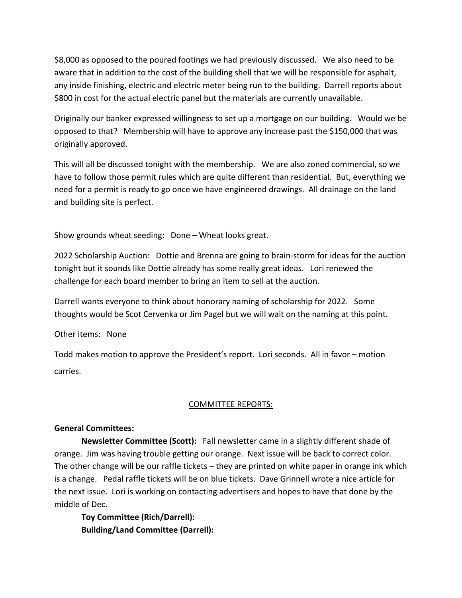\$8,000 as opposed to the poured footings we had previously discussed. We also need to be aware that in addition to the cost of the building shell that we will be responsible for asphalt, any inside finishing, electric and electric meter being run to the building. Darrell reports about \$800 in cost for the actual electric panel but the materials are currently unavailable.

Originally our banker expressed willingness to set up a mortgage on our building. Would we be opposed to that? Membership will have to approve any increase past the \$150,000 that was originally approved.

This will all be discussed tonight with the membership. We are also zoned commercial, so we have to follow those permit rules which are quite different than residential. But, everything we need for a permit is ready to go once we have engineered drawings. All drainage on the land and building site is perfect.

Show grounds wheat seeding: Done – Wheat looks great.

2022 Scholarship Auction: Dottie and Brenna are going to brain-storm for ideas for the auction tonight but it sounds like Dottie already has some really great ideas. Lori renewed the challenge for each board member to bring an item to sell at the auction.

Darrell wants everyone to think about honorary naming of scholarship for 2022. Some thoughts would be Scot Cervenka or Jim Pagel but we will wait on the naming at this point.

Other items: None

Todd makes motion to approve the President's report. Lori seconds. All in favor – motion carries.

#### COMMITTEE REPORTS:

#### **General Committees:**

**Newsletter Committee (Scott):** Fall newsletter came in a slightly different shade of orange. Jim was having trouble getting our orange. Next issue will be back to correct color. The other change will be our raffle tickets – they are printed on white paper in orange ink which is a change. Pedal raffle tickets will be on blue tickets. Dave Grinnell wrote a nice article for the next issue. Lori is working on contacting advertisers and hopes to have that done by the middle of Dec.

**Toy Committee (Rich/Darrell): Building/Land Committee (Darrell):**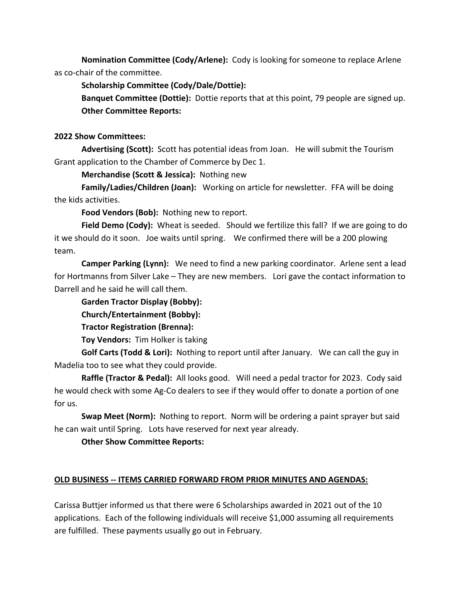**Nomination Committee (Cody/Arlene):** Cody is looking for someone to replace Arlene as co-chair of the committee.

**Scholarship Committee (Cody/Dale/Dottie):**

**Banquet Committee (Dottie):** Dottie reports that at this point, 79 people are signed up. **Other Committee Reports:**

#### **2022 Show Committees:**

**Advertising (Scott):** Scott has potential ideas from Joan. He will submit the Tourism Grant application to the Chamber of Commerce by Dec 1.

**Merchandise (Scott & Jessica):** Nothing new

**Family/Ladies/Children (Joan):** Working on article for newsletter. FFA will be doing the kids activities.

**Food Vendors (Bob):** Nothing new to report.

**Field Demo (Cody):** Wheat is seeded. Should we fertilize this fall? If we are going to do it we should do it soon. Joe waits until spring. We confirmed there will be a 200 plowing team.

**Camper Parking (Lynn):** We need to find a new parking coordinator. Arlene sent a lead for Hortmanns from Silver Lake – They are new members. Lori gave the contact information to Darrell and he said he will call them.

**Garden Tractor Display (Bobby):**

**Church/Entertainment (Bobby):**

**Tractor Registration (Brenna):**

**Toy Vendors:** Tim Holker is taking

**Golf Carts (Todd & Lori):** Nothing to report until after January. We can call the guy in Madelia too to see what they could provide.

**Raffle (Tractor & Pedal):** All looks good. Will need a pedal tractor for 2023. Cody said he would check with some Ag-Co dealers to see if they would offer to donate a portion of one for us.

**Swap Meet (Norm):** Nothing to report. Norm will be ordering a paint sprayer but said he can wait until Spring. Lots have reserved for next year already.

**Other Show Committee Reports:**

# **OLD BUSINESS -- ITEMS CARRIED FORWARD FROM PRIOR MINUTES AND AGENDAS:**

Carissa Buttjer informed us that there were 6 Scholarships awarded in 2021 out of the 10 applications. Each of the following individuals will receive \$1,000 assuming all requirements are fulfilled. These payments usually go out in February.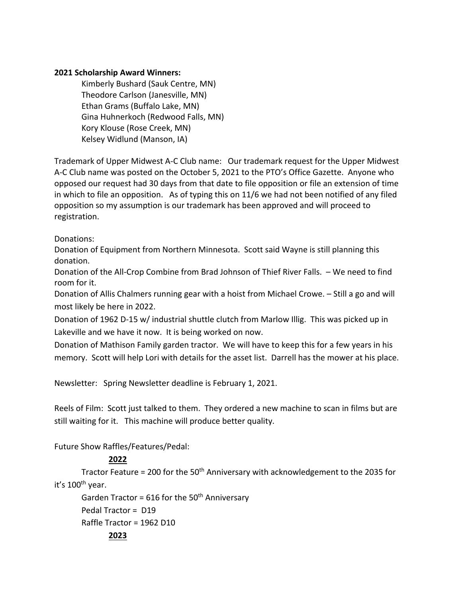# **2021 Scholarship Award Winners:**

Kimberly Bushard (Sauk Centre, MN) Theodore Carlson (Janesville, MN) Ethan Grams (Buffalo Lake, MN) Gina Huhnerkoch (Redwood Falls, MN) Kory Klouse (Rose Creek, MN) Kelsey Widlund (Manson, IA)

Trademark of Upper Midwest A-C Club name: Our trademark request for the Upper Midwest A-C Club name was posted on the October 5, 2021 to the PTO's Office Gazette. Anyone who opposed our request had 30 days from that date to file opposition or file an extension of time in which to file an opposition. As of typing this on 11/6 we had not been notified of any filed opposition so my assumption is our trademark has been approved and will proceed to registration.

Donations:

Donation of Equipment from Northern Minnesota. Scott said Wayne is still planning this donation.

Donation of the All-Crop Combine from Brad Johnson of Thief River Falls. – We need to find room for it.

Donation of Allis Chalmers running gear with a hoist from Michael Crowe. – Still a go and will most likely be here in 2022.

Donation of 1962 D-15 w/ industrial shuttle clutch from Marlow Illig. This was picked up in Lakeville and we have it now. It is being worked on now.

Donation of Mathison Family garden tractor. We will have to keep this for a few years in his memory. Scott will help Lori with details for the asset list. Darrell has the mower at his place.

Newsletter: Spring Newsletter deadline is February 1, 2021.

Reels of Film: Scott just talked to them. They ordered a new machine to scan in films but are still waiting for it. This machine will produce better quality.

Future Show Raffles/Features/Pedal:

# **2022**

Tractor Feature = 200 for the 50<sup>th</sup> Anniversary with acknowledgement to the 2035 for it's 100th year.

Garden Tractor = 616 for the 50<sup>th</sup> Anniversary Pedal Tractor = D19 Raffle Tractor = 1962 D10 **2023**